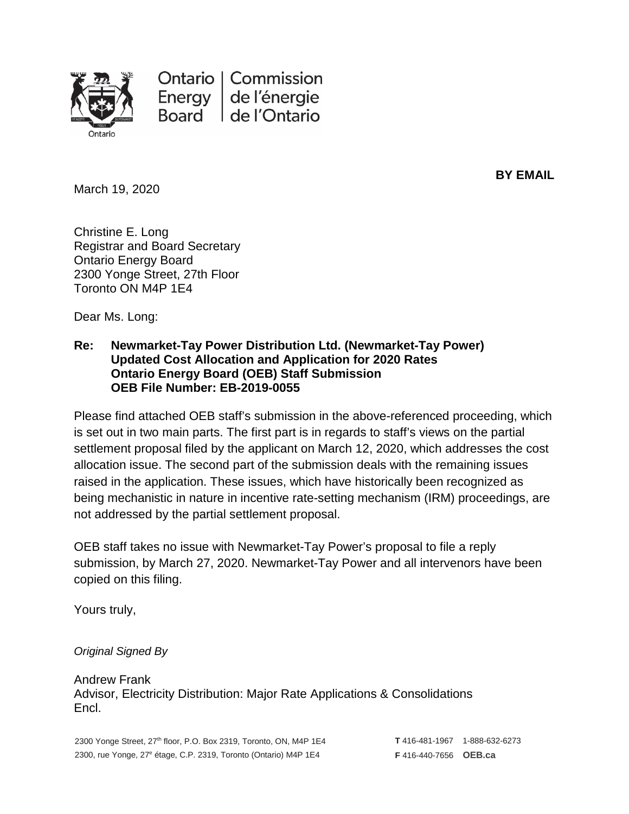

Ontario | Commission Energy de l'énergie de l'Ontario **Board** 

March 19, 2020

**BY EMAIL**

Christine E. Long Registrar and Board Secretary Ontario Energy Board 2300 Yonge Street, 27th Floor Toronto ON M4P 1E4

Dear Ms. Long:

#### **Re: Newmarket-Tay Power Distribution Ltd. (Newmarket-Tay Power) Updated Cost Allocation and Application for 2020 Rates Ontario Energy Board (OEB) Staff Submission OEB File Number: EB-2019-0055**

Please find attached OEB staff's submission in the above-referenced proceeding, which is set out in two main parts. The first part is in regards to staff's views on the partial settlement proposal filed by the applicant on March 12, 2020, which addresses the cost allocation issue. The second part of the submission deals with the remaining issues raised in the application. These issues, which have historically been recognized as being mechanistic in nature in incentive rate-setting mechanism (IRM) proceedings, are not addressed by the partial settlement proposal.

OEB staff takes no issue with Newmarket-Tay Power's proposal to file a reply submission, by March 27, 2020. Newmarket-Tay Power and all intervenors have been copied on this filing.

Yours truly,

#### *Original Signed By*

Andrew Frank Advisor, Electricity Distribution: Major Rate Applications & Consolidations Encl.

2300 Yonge Street, 27<sup>th</sup> floor, P.O. Box 2319, Toronto, ON, M4P 1E4 2300, rue Yonge, 27e étage, C.P. 2319, Toronto (Ontario) M4P 1E4

**T** 416-481-1967 1-888-632-6273 **F** 416-440-7656 **OEB.ca**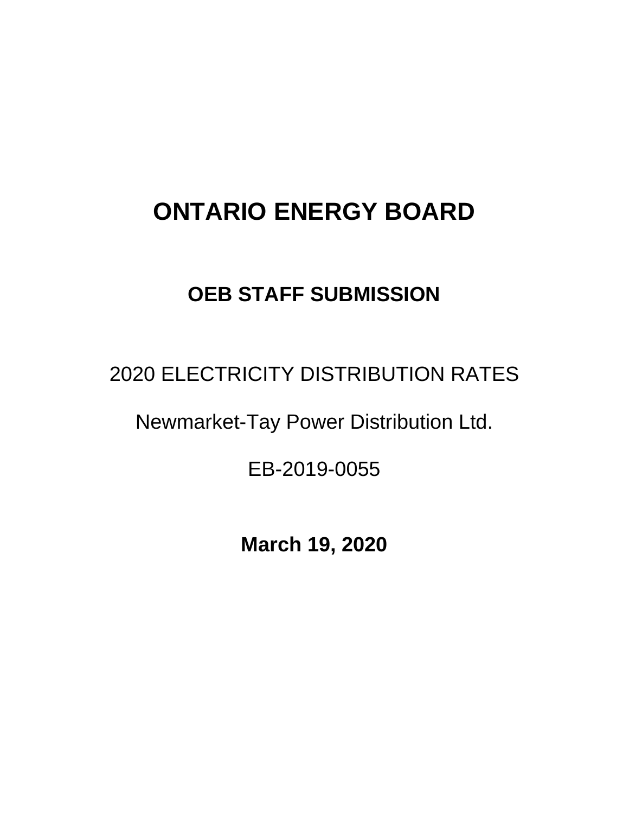# **ONTARIO ENERGY BOARD**

## **OEB STAFF SUBMISSION**

2020 ELECTRICITY DISTRIBUTION RATES

Newmarket-Tay Power Distribution Ltd.

EB-2019-0055

**March 19, 2020**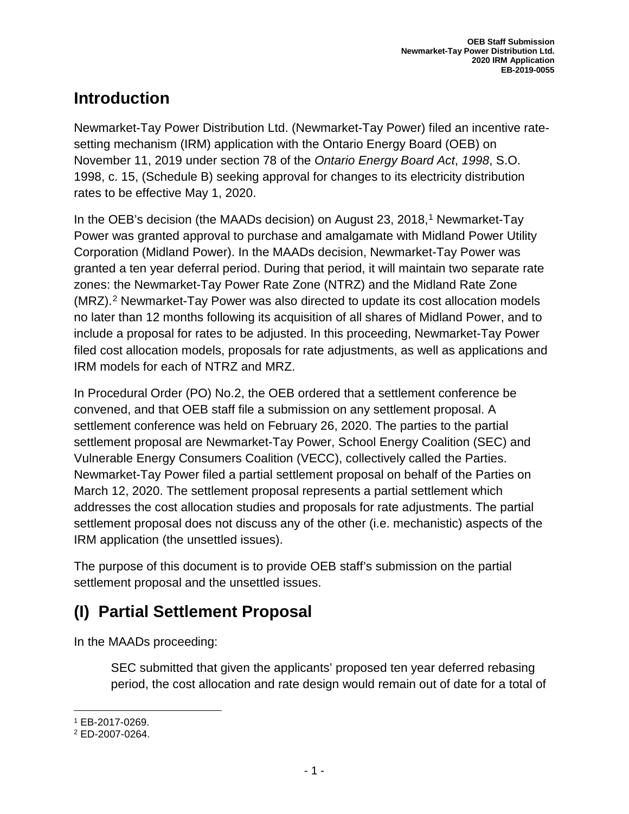## **Introduction**

Newmarket-Tay Power Distribution Ltd. (Newmarket-Tay Power) filed an incentive ratesetting mechanism (IRM) application with the Ontario Energy Board (OEB) on November 11, 2019 under section 78 of the *Ontario Energy Board Act*, *1998*, S.O. 1998, c. 15, (Schedule B) seeking approval for changes to its electricity distribution rates to be effective May 1, 2020.

In the OEB's decision (the MAADs decision) on August 23, 20[1](#page-2-0)8,<sup>1</sup> Newmarket-Tay Power was granted approval to purchase and amalgamate with Midland Power Utility Corporation (Midland Power). In the MAADs decision, Newmarket-Tay Power was granted a ten year deferral period. During that period, it will maintain two separate rate zones: the Newmarket-Tay Power Rate Zone (NTRZ) and the Midland Rate Zone (MRZ).[2](#page-2-1) Newmarket-Tay Power was also directed to update its cost allocation models no later than 12 months following its acquisition of all shares of Midland Power, and to include a proposal for rates to be adjusted. In this proceeding, Newmarket-Tay Power filed cost allocation models, proposals for rate adjustments, as well as applications and IRM models for each of NTRZ and MRZ.

In Procedural Order (PO) No.2, the OEB ordered that a settlement conference be convened, and that OEB staff file a submission on any settlement proposal. A settlement conference was held on February 26, 2020. The parties to the partial settlement proposal are Newmarket-Tay Power, School Energy Coalition (SEC) and Vulnerable Energy Consumers Coalition (VECC), collectively called the Parties. Newmarket-Tay Power filed a partial settlement proposal on behalf of the Parties on March 12, 2020. The settlement proposal represents a partial settlement which addresses the cost allocation studies and proposals for rate adjustments. The partial settlement proposal does not discuss any of the other (i.e. mechanistic) aspects of the IRM application (the unsettled issues).

The purpose of this document is to provide OEB staff's submission on the partial settlement proposal and the unsettled issues.

## **(I) Partial Settlement Proposal**

In the MAADs proceeding:

SEC submitted that given the applicants' proposed ten year deferred rebasing period, the cost allocation and rate design would remain out of date for a total of

<sup>1</sup> EB-2017-0269.

<span id="page-2-1"></span><span id="page-2-0"></span><sup>2</sup> ED-2007-0264.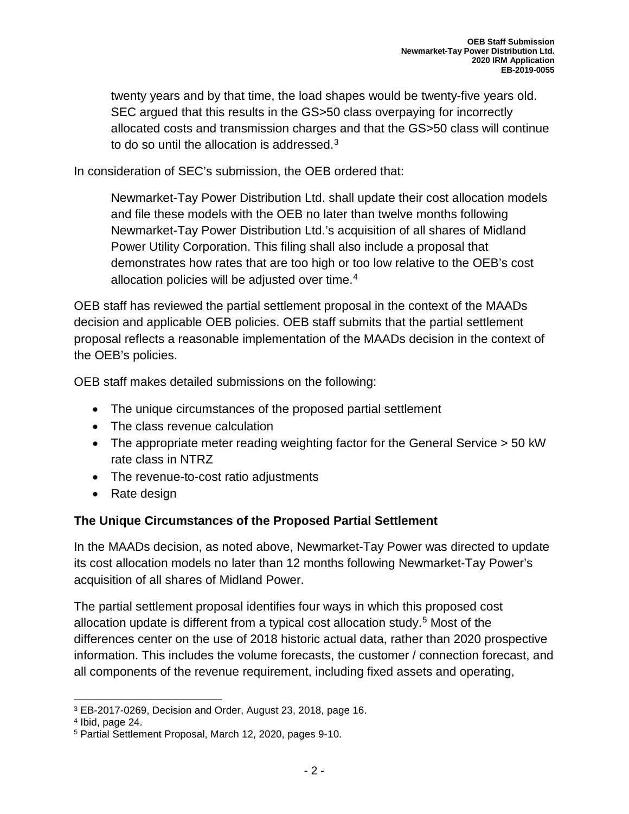twenty years and by that time, the load shapes would be twenty-five years old. SEC argued that this results in the GS>50 class overpaying for incorrectly allocated costs and transmission charges and that the GS>50 class will continue to do so until the allocation is addressed.<sup>[3](#page-3-0)</sup>

In consideration of SEC's submission, the OEB ordered that:

Newmarket-Tay Power Distribution Ltd. shall update their cost allocation models and file these models with the OEB no later than twelve months following Newmarket-Tay Power Distribution Ltd.'s acquisition of all shares of Midland Power Utility Corporation. This filing shall also include a proposal that demonstrates how rates that are too high or too low relative to the OEB's cost allocation policies will be adjusted over time. $4$ 

OEB staff has reviewed the partial settlement proposal in the context of the MAADs decision and applicable OEB policies. OEB staff submits that the partial settlement proposal reflects a reasonable implementation of the MAADs decision in the context of the OEB's policies.

OEB staff makes detailed submissions on the following:

- The unique circumstances of the proposed partial settlement
- The class revenue calculation
- The appropriate meter reading weighting factor for the General Service > 50 kW rate class in NTRZ
- The revenue-to-cost ratio adjustments
- Rate design

#### **The Unique Circumstances of the Proposed Partial Settlement**

In the MAADs decision, as noted above, Newmarket-Tay Power was directed to update its cost allocation models no later than 12 months following Newmarket-Tay Power's acquisition of all shares of Midland Power.

The partial settlement proposal identifies four ways in which this proposed cost allocation update is different from a typical cost allocation study.[5](#page-3-2) Most of the differences center on the use of 2018 historic actual data, rather than 2020 prospective information. This includes the volume forecasts, the customer / connection forecast, and all components of the revenue requirement, including fixed assets and operating,

<span id="page-3-0"></span>l <sup>3</sup> EB-2017-0269, Decision and Order, August 23, 2018, page 16.

<span id="page-3-1"></span><sup>4</sup> Ibid, page 24.

<span id="page-3-2"></span><sup>5</sup> Partial Settlement Proposal, March 12, 2020, pages 9-10.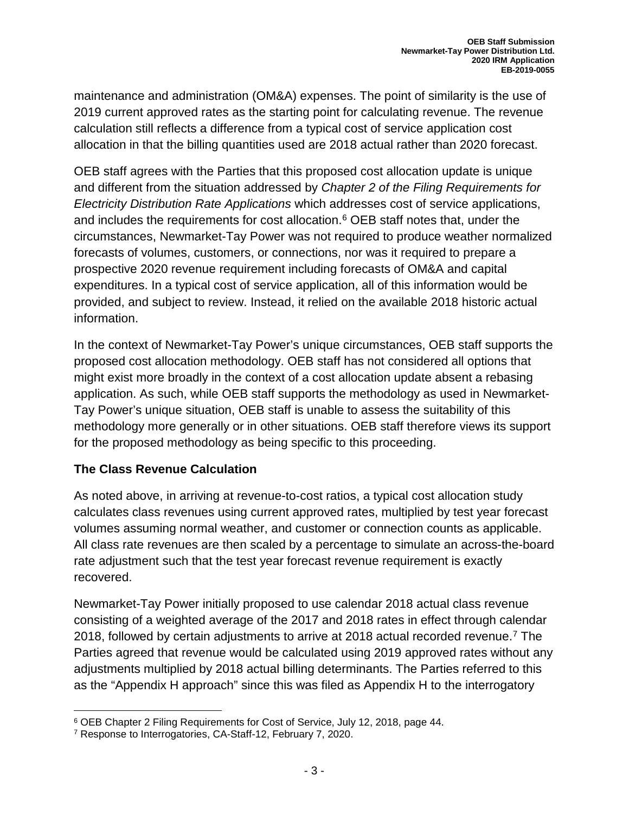maintenance and administration (OM&A) expenses. The point of similarity is the use of 2019 current approved rates as the starting point for calculating revenue. The revenue calculation still reflects a difference from a typical cost of service application cost allocation in that the billing quantities used are 2018 actual rather than 2020 forecast.

OEB staff agrees with the Parties that this proposed cost allocation update is unique and different from the situation addressed by *Chapter 2 of the Filing Requirements for Electricity Distribution Rate Applications* which addresses cost of service applications, and includes the requirements for cost allocation. [6](#page-4-0) OEB staff notes that, under the circumstances, Newmarket-Tay Power was not required to produce weather normalized forecasts of volumes, customers, or connections, nor was it required to prepare a prospective 2020 revenue requirement including forecasts of OM&A and capital expenditures. In a typical cost of service application, all of this information would be provided, and subject to review. Instead, it relied on the available 2018 historic actual information.

In the context of Newmarket-Tay Power's unique circumstances, OEB staff supports the proposed cost allocation methodology. OEB staff has not considered all options that might exist more broadly in the context of a cost allocation update absent a rebasing application. As such, while OEB staff supports the methodology as used in Newmarket-Tay Power's unique situation, OEB staff is unable to assess the suitability of this methodology more generally or in other situations. OEB staff therefore views its support for the proposed methodology as being specific to this proceeding.

#### **The Class Revenue Calculation**

As noted above, in arriving at revenue-to-cost ratios, a typical cost allocation study calculates class revenues using current approved rates, multiplied by test year forecast volumes assuming normal weather, and customer or connection counts as applicable. All class rate revenues are then scaled by a percentage to simulate an across-the-board rate adjustment such that the test year forecast revenue requirement is exactly recovered.

Newmarket-Tay Power initially proposed to use calendar 2018 actual class revenue consisting of a weighted average of the 2017 and 2018 rates in effect through calendar 2018, followed by certain adjustments to arrive at 2018 actual recorded revenue[.7](#page-4-1) The Parties agreed that revenue would be calculated using 2019 approved rates without any adjustments multiplied by 2018 actual billing determinants. The Parties referred to this as the "Appendix H approach" since this was filed as Appendix H to the interrogatory

l <sup>6</sup> OEB Chapter 2 Filing Requirements for Cost of Service, July 12, 2018, page 44.

<span id="page-4-1"></span><span id="page-4-0"></span><sup>7</sup> Response to Interrogatories, CA-Staff-12, February 7, 2020.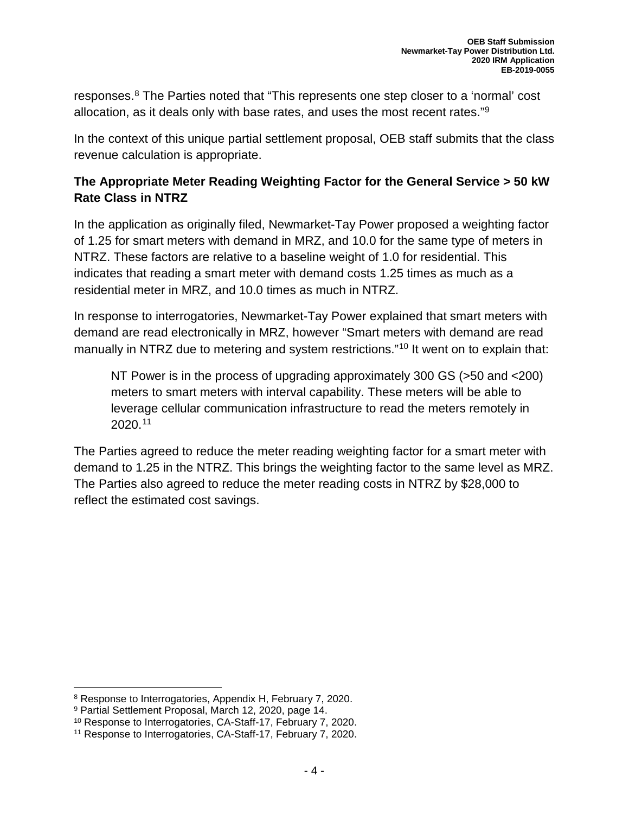responses.[8](#page-5-0) The Parties noted that "This represents one step closer to a 'normal' cost allocation, as it deals only with base rates, and uses the most recent rates."[9](#page-5-1)

In the context of this unique partial settlement proposal, OEB staff submits that the class revenue calculation is appropriate.

#### **The Appropriate Meter Reading Weighting Factor for the General Service > 50 kW Rate Class in NTRZ**

In the application as originally filed, Newmarket-Tay Power proposed a weighting factor of 1.25 for smart meters with demand in MRZ, and 10.0 for the same type of meters in NTRZ. These factors are relative to a baseline weight of 1.0 for residential. This indicates that reading a smart meter with demand costs 1.25 times as much as a residential meter in MRZ, and 10.0 times as much in NTRZ.

In response to interrogatories, Newmarket-Tay Power explained that smart meters with demand are read electronically in MRZ, however "Smart meters with demand are read manually in NTRZ due to metering and system restrictions."<sup>[10](#page-5-2)</sup> It went on to explain that:

NT Power is in the process of upgrading approximately 300 GS (>50 and <200) meters to smart meters with interval capability. These meters will be able to leverage cellular communication infrastructure to read the meters remotely in 2020.[11](#page-5-3)

The Parties agreed to reduce the meter reading weighting factor for a smart meter with demand to 1.25 in the NTRZ. This brings the weighting factor to the same level as MRZ. The Parties also agreed to reduce the meter reading costs in NTRZ by \$28,000 to reflect the estimated cost savings.

<span id="page-5-0"></span><sup>8</sup> Response to Interrogatories, Appendix H, February 7, 2020.

<span id="page-5-1"></span><sup>9</sup> Partial Settlement Proposal, March 12, 2020, page 14.

<span id="page-5-2"></span><sup>10</sup> Response to Interrogatories, CA-Staff-17, February 7, 2020.

<span id="page-5-3"></span><sup>11</sup> Response to Interrogatories, CA-Staff-17, February 7, 2020.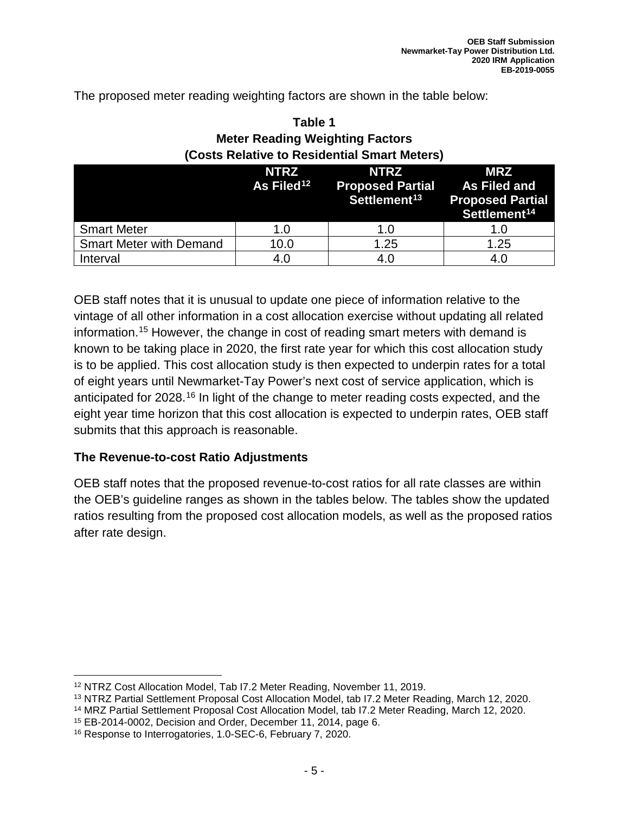The proposed meter reading weighting factors are shown in the table below:

#### **Table 1 Meter Reading Weighting Factors (Costs Relative to Residential Smart Meters)**

|                                | <b>NTRZ</b><br>As Filed <sup>12</sup> | <b>NTRZ</b><br><b>Proposed Partial As Filed and</b><br>Settlement <sup>13</sup> | <b>MRZ</b><br><b>Proposed Partial</b><br>Settlement <sup>14</sup> |
|--------------------------------|---------------------------------------|---------------------------------------------------------------------------------|-------------------------------------------------------------------|
| <b>Smart Meter</b>             | 1.0                                   | 1.0                                                                             |                                                                   |
| <b>Smart Meter with Demand</b> | 10.0                                  | 1.25                                                                            | 1.25                                                              |
| Interval                       | 4.0                                   | 4.0                                                                             | 4.0                                                               |

OEB staff notes that it is unusual to update one piece of information relative to the vintage of all other information in a cost allocation exercise without updating all related information.[15](#page-6-3) However, the change in cost of reading smart meters with demand is known to be taking place in 2020, the first rate year for which this cost allocation study is to be applied. This cost allocation study is then expected to underpin rates for a total of eight years until Newmarket-Tay Power's next cost of service application, which is anticipated for 2028.<sup>[16](#page-6-4)</sup> In light of the change to meter reading costs expected, and the eight year time horizon that this cost allocation is expected to underpin rates, OEB staff submits that this approach is reasonable.

#### **The Revenue-to-cost Ratio Adjustments**

OEB staff notes that the proposed revenue-to-cost ratios for all rate classes are within the OEB's guideline ranges as shown in the tables below. The tables show the updated ratios resulting from the proposed cost allocation models, as well as the proposed ratios after rate design.

 $\overline{\phantom{a}}$ 

<span id="page-6-0"></span><sup>12</sup> NTRZ Cost Allocation Model, Tab I7.2 Meter Reading, November 11, 2019.

<span id="page-6-1"></span><sup>13</sup> NTRZ Partial Settlement Proposal Cost Allocation Model, tab I7.2 Meter Reading, March 12, 2020.

<span id="page-6-2"></span><sup>14</sup> MRZ Partial Settlement Proposal Cost Allocation Model, tab I7.2 Meter Reading, March 12, 2020.

<span id="page-6-3"></span><sup>15</sup> EB-2014-0002, Decision and Order, December 11, 2014, page 6.

<span id="page-6-4"></span><sup>16</sup> Response to Interrogatories, 1.0-SEC-6, February 7, 2020.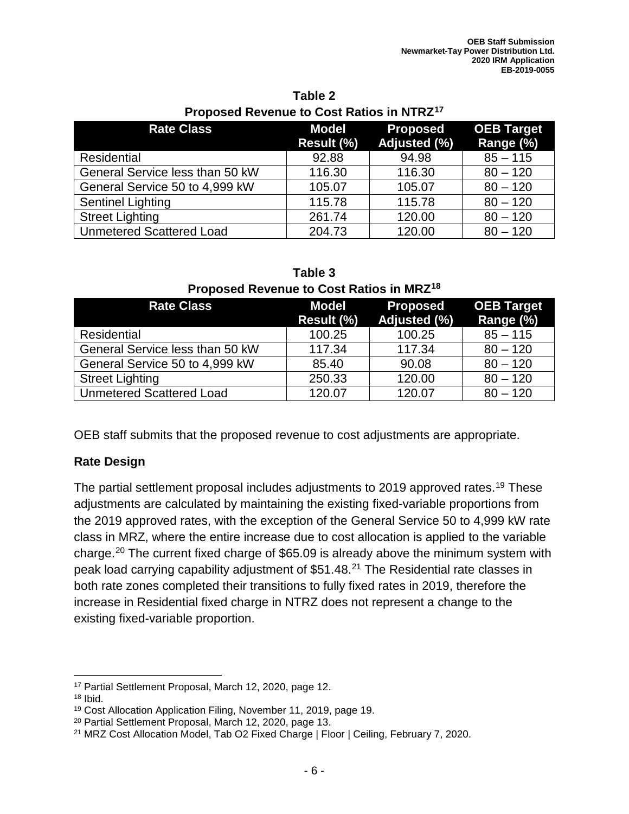| <b>Rate Class</b>               | <b>Model</b><br>Result (%) | <b>Proposed</b><br>Adjusted (%) | <b>OEB Target</b><br>Range (%) |
|---------------------------------|----------------------------|---------------------------------|--------------------------------|
| <b>Residential</b>              | 92.88                      | 94.98                           | $85 - 115$                     |
| General Service less than 50 kW | 116.30                     | 116.30                          | $80 - 120$                     |
| General Service 50 to 4,999 kW  | 105.07                     | 105.07                          | $80 - 120$                     |
| <b>Sentinel Lighting</b>        | 115.78                     | 115.78                          | $80 - 120$                     |
| <b>Street Lighting</b>          | 261.74                     | 120.00                          | $80 - 120$                     |
| <b>Unmetered Scattered Load</b> | 204.73                     | 120.00                          | $80 - 120$                     |

#### **Table 2 Proposed Revenue to Cost Ratios in NTRZ[17](#page-7-0)**

| <b>I</b> TOPOSED INCRETING TO OOST INDICE |                     |                                 |                                |
|-------------------------------------------|---------------------|---------------------------------|--------------------------------|
| <b>Rate Class</b>                         | Model<br>Result (%) | <b>Proposed</b><br>Adjusted (%) | <b>OEB Target</b><br>Range (%) |
| Residential                               | 100.25              | 100.25                          | $85 - 115$                     |
| General Service less than 50 kW           | 117.34              | 117.34                          | $80 - 120$                     |
| General Service 50 to 4,999 kW            | 85.40               | 90.08                           | $80 - 120$                     |
| <b>Street Lighting</b>                    | 250.33              | 120.00                          | $80 - 120$                     |
| <b>Unmetered Scattered Load</b>           | 120.07              | 120.07                          | $80 - 120$                     |

#### **Table 3 Proposed Revenue to Cost Ratios in MRZ[18](#page-7-1)**

OEB staff submits that the proposed revenue to cost adjustments are appropriate.

#### **Rate Design**

The partial settlement proposal includes adjustments to 2019 approved rates.[19](#page-7-2) These adjustments are calculated by maintaining the existing fixed-variable proportions from the 2019 approved rates, with the exception of the General Service 50 to 4,999 kW rate class in MRZ, where the entire increase due to cost allocation is applied to the variable charge.[20](#page-7-3) The current fixed charge of \$65.09 is already above the minimum system with peak load carrying capability adjustment of \$51.48.[21](#page-7-4) The Residential rate classes in both rate zones completed their transitions to fully fixed rates in 2019, therefore the increase in Residential fixed charge in NTRZ does not represent a change to the existing fixed-variable proportion.

 $\overline{\phantom{a}}$ 

<span id="page-7-0"></span><sup>17</sup> Partial Settlement Proposal, March 12, 2020, page 12.

<span id="page-7-1"></span> $18$  Ibid.

<span id="page-7-2"></span><sup>19</sup> Cost Allocation Application Filing, November 11, 2019, page 19.

<span id="page-7-3"></span><sup>20</sup> Partial Settlement Proposal, March 12, 2020, page 13.

<span id="page-7-4"></span><sup>21</sup> MRZ Cost Allocation Model, Tab O2 Fixed Charge | Floor | Ceiling, February 7, 2020.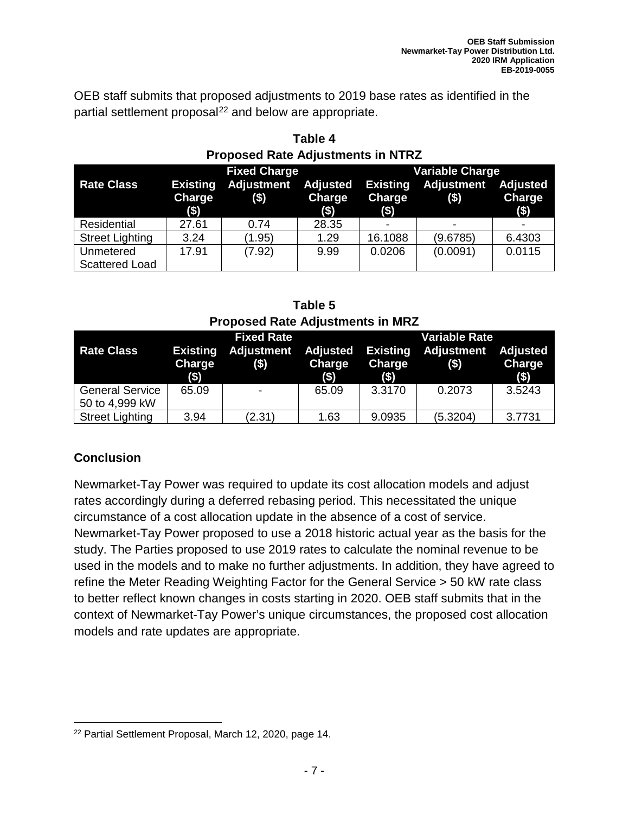OEB staff submits that proposed adjustments to 2019 base rates as identified in the partial settlement proposal<sup>[22](#page-8-0)</sup> and below are appropriate.

| Proposed Rate Adjustments in NTRZ  |                                  |                              |                               |                          |                                       |                                             |  |
|------------------------------------|----------------------------------|------------------------------|-------------------------------|--------------------------|---------------------------------------|---------------------------------------------|--|
|                                    |                                  | <b>Fixed Charge</b>          |                               |                          | <b>Variable Charge</b>                |                                             |  |
| <b>Rate Class</b>                  | <b>Existing</b><br>Charge<br>(3) | <b>Adjustment</b><br>$($ \$) | Adjusted<br>Charge<br>$($ \$) | <b>Charge</b><br>$($ \$) | <b>Existing Adjustment</b><br>$($ \$) | <b>Adjusted</b><br><b>Charge</b><br>$($ \$) |  |
| Residential                        | 27.61                            | 0.74                         | 28.35                         |                          |                                       |                                             |  |
| <b>Street Lighting</b>             | 3.24                             | (1.95)                       | 1.29                          | 16.1088                  | (9.6785)                              | 6.4303                                      |  |
| Unmetered<br><b>Scattered Load</b> | 17.91                            | (7.92)                       | 9.99                          | 0.0206                   | (0.0091)                              | 0.0115                                      |  |

**Table 4 Proposed Rate Adjustments in NTRZ**

**Table 5 Proposed Rate Adjustments in MRZ**

|                        |                                             | <b>Fixed Rate</b>           |                               | <b>Variable Rate</b>                        |                       |                                  |
|------------------------|---------------------------------------------|-----------------------------|-------------------------------|---------------------------------------------|-----------------------|----------------------------------|
| <b>Rate Class</b>      | <b>Existing</b><br><b>Charge</b><br>$($ \$) | <b>Adjustment</b><br>$(\$)$ | Adjusted<br>Charge<br>$($ \$) | <b>Existing</b><br><b>Charge</b><br>$($ \$) | Adjustment<br>$($ \$) | <b>Adjusted</b><br>Charge<br>(3) |
| <b>General Service</b> | 65.09                                       |                             | 65.09                         | 3.3170                                      | 0.2073                | 3.5243                           |
| 50 to 4,999 kW         |                                             |                             |                               |                                             |                       |                                  |
| <b>Street Lighting</b> | 3.94                                        | (2.31)                      | 1.63                          | 9.0935                                      | (5.3204)              | 3.7731                           |

#### **Conclusion**

Newmarket-Tay Power was required to update its cost allocation models and adjust rates accordingly during a deferred rebasing period. This necessitated the unique circumstance of a cost allocation update in the absence of a cost of service. Newmarket-Tay Power proposed to use a 2018 historic actual year as the basis for the study. The Parties proposed to use 2019 rates to calculate the nominal revenue to be used in the models and to make no further adjustments. In addition, they have agreed to refine the Meter Reading Weighting Factor for the General Service > 50 kW rate class to better reflect known changes in costs starting in 2020. OEB staff submits that in the context of Newmarket-Tay Power's unique circumstances, the proposed cost allocation models and rate updates are appropriate.

<span id="page-8-0"></span>l <sup>22</sup> Partial Settlement Proposal, March 12, 2020, page 14.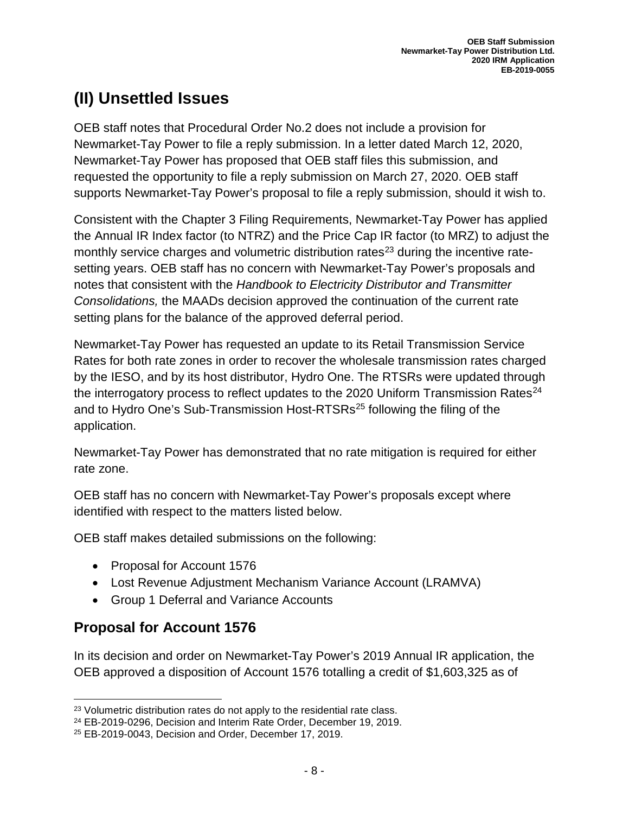## **(II) Unsettled Issues**

OEB staff notes that Procedural Order No.2 does not include a provision for Newmarket-Tay Power to file a reply submission. In a letter dated March 12, 2020, Newmarket-Tay Power has proposed that OEB staff files this submission, and requested the opportunity to file a reply submission on March 27, 2020. OEB staff supports Newmarket-Tay Power's proposal to file a reply submission, should it wish to.

Consistent with the Chapter 3 Filing Requirements, Newmarket-Tay Power has applied the Annual IR Index factor (to NTRZ) and the Price Cap IR factor (to MRZ) to adjust the monthly service charges and volumetric distribution rates<sup>[23](#page-9-0)</sup> during the incentive ratesetting years. OEB staff has no concern with Newmarket-Tay Power's proposals and notes that consistent with the *Handbook to Electricity Distributor and Transmitter Consolidations,* the MAADs decision approved the continuation of the current rate setting plans for the balance of the approved deferral period.

Newmarket-Tay Power has requested an update to its Retail Transmission Service Rates for both rate zones in order to recover the wholesale transmission rates charged by the IESO, and by its host distributor, Hydro One. The RTSRs were updated through the interrogatory process to reflect updates to the 2020 Uniform Transmission Rates<sup>[24](#page-9-1)</sup> and to Hydro One's Sub-Transmission Host-RTSRs<sup>[25](#page-9-2)</sup> following the filing of the application.

Newmarket-Tay Power has demonstrated that no rate mitigation is required for either rate zone.

OEB staff has no concern with Newmarket-Tay Power's proposals except where identified with respect to the matters listed below.

OEB staff makes detailed submissions on the following:

- Proposal for Account 1576
- Lost Revenue Adjustment Mechanism Variance Account (LRAMVA)
- Group 1 Deferral and Variance Accounts

#### **Proposal for Account 1576**

In its decision and order on Newmarket-Tay Power's 2019 Annual IR application, the OEB approved a disposition of Account 1576 totalling a credit of \$1,603,325 as of

l <sup>23</sup> Volumetric distribution rates do not apply to the residential rate class.

<span id="page-9-1"></span><span id="page-9-0"></span><sup>24</sup> EB-2019-0296, Decision and Interim Rate Order, December 19, 2019.

<span id="page-9-2"></span><sup>25</sup> EB-2019-0043, Decision and Order, December 17, 2019.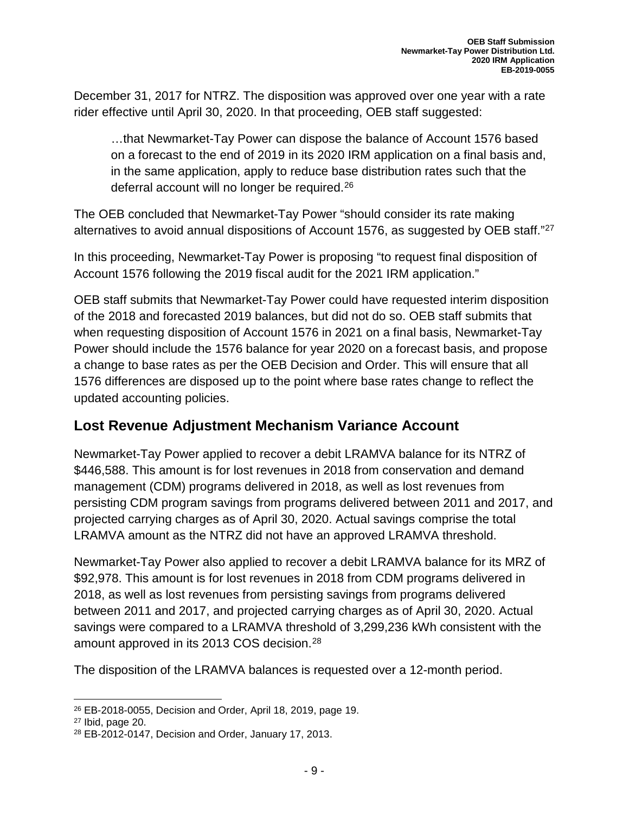December 31, 2017 for NTRZ. The disposition was approved over one year with a rate rider effective until April 30, 2020. In that proceeding, OEB staff suggested:

…that Newmarket-Tay Power can dispose the balance of Account 1576 based on a forecast to the end of 2019 in its 2020 IRM application on a final basis and, in the same application, apply to reduce base distribution rates such that the deferral account will no longer be required.<sup>[26](#page-10-0)</sup>

The OEB concluded that Newmarket-Tay Power "should consider its rate making alternatives to avoid annual dispositions of Account 1576, as suggested by OEB staff."<sup>[27](#page-10-1)</sup>

In this proceeding, Newmarket-Tay Power is proposing "to request final disposition of Account 1576 following the 2019 fiscal audit for the 2021 IRM application."

OEB staff submits that Newmarket-Tay Power could have requested interim disposition of the 2018 and forecasted 2019 balances, but did not do so. OEB staff submits that when requesting disposition of Account 1576 in 2021 on a final basis, Newmarket-Tay Power should include the 1576 balance for year 2020 on a forecast basis, and propose a change to base rates as per the OEB Decision and Order. This will ensure that all 1576 differences are disposed up to the point where base rates change to reflect the updated accounting policies.

#### **Lost Revenue Adjustment Mechanism Variance Account**

Newmarket-Tay Power applied to recover a debit LRAMVA balance for its NTRZ of \$446,588. This amount is for lost revenues in 2018 from conservation and demand management (CDM) programs delivered in 2018, as well as lost revenues from persisting CDM program savings from programs delivered between 2011 and 2017, and projected carrying charges as of April 30, 2020. Actual savings comprise the total LRAMVA amount as the NTRZ did not have an approved LRAMVA threshold.

Newmarket-Tay Power also applied to recover a debit LRAMVA balance for its MRZ of \$92,978. This amount is for lost revenues in 2018 from CDM programs delivered in 2018, as well as lost revenues from persisting savings from programs delivered between 2011 and 2017, and projected carrying charges as of April 30, 2020. Actual savings were compared to a LRAMVA threshold of 3,299,236 kWh consistent with the amount approved in its 2013 COS decision.<sup>[28](#page-10-2)</sup>

The disposition of the LRAMVA balances is requested over a 12-month period.

<span id="page-10-0"></span>l <sup>26</sup> EB-2018-0055, Decision and Order, April 18, 2019, page 19.

<span id="page-10-1"></span><sup>27</sup> Ibid, page 20.

<span id="page-10-2"></span><sup>28</sup> EB-2012-0147, Decision and Order, January 17, 2013.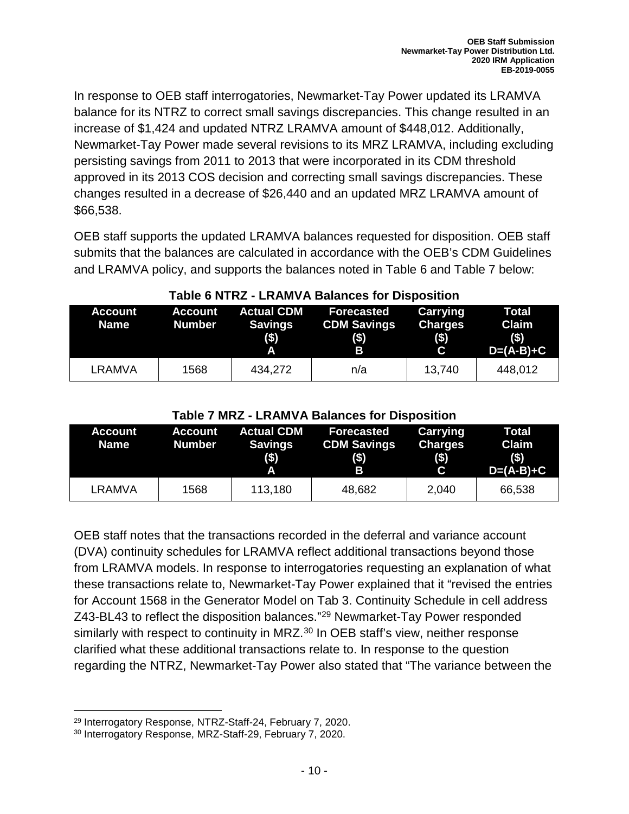In response to OEB staff interrogatories, Newmarket-Tay Power updated its LRAMVA balance for its NTRZ to correct small savings discrepancies. This change resulted in an increase of \$1,424 and updated NTRZ LRAMVA amount of \$448,012. Additionally, Newmarket-Tay Power made several revisions to its MRZ LRAMVA, including excluding persisting savings from 2011 to 2013 that were incorporated in its CDM threshold approved in its 2013 COS decision and correcting small savings discrepancies. These changes resulted in a decrease of \$26,440 and an updated MRZ LRAMVA amount of \$66,538.

OEB staff supports the updated LRAMVA balances requested for disposition. OEB staff submits that the balances are calculated in accordance with the OEB's CDM Guidelines and LRAMVA policy, and supports the balances noted in Table 6 and Table 7 below:

| <b>Account</b><br><b>Name</b> | Account<br><b>Number</b> | <b>Actual CDM</b><br><b>Savings</b><br>\$) | Forecasted<br><b>CDM Savings</b><br>$($ \$)<br>B | <b>Carrying</b><br><b>Charges</b><br>$($ \$)<br>C | <b>Total</b><br>Claim<br>$($ \$)<br>$D=(A-B)+C$ |
|-------------------------------|--------------------------|--------------------------------------------|--------------------------------------------------|---------------------------------------------------|-------------------------------------------------|
| LRAMVA                        | 1568                     | 434,272                                    | n/a                                              | 13,740                                            | 448,012                                         |

#### **Table 6 NTRZ - LRAMVA Balances for Disposition**

#### **Table 7 MRZ - LRAMVA Balances for Disposition**

| <b>Account</b><br>Name | <b>Account</b><br><b>Number</b> | <b>Actual CDM</b><br><b>Savings</b><br>(3)<br>A | <b>Forecasted</b><br><b>CDM Savings</b><br>$($ \$)<br>Β | Carrying<br><b>Charges</b><br>$($ \$)<br>C | Total<br>Claim<br>(s)<br>$D=(A-B)+C$ |
|------------------------|---------------------------------|-------------------------------------------------|---------------------------------------------------------|--------------------------------------------|--------------------------------------|
| LRAMVA                 | 1568                            | 113,180                                         | 48,682                                                  | 2,040                                      | 66,538                               |

OEB staff notes that the transactions recorded in the deferral and variance account (DVA) continuity schedules for LRAMVA reflect additional transactions beyond those from LRAMVA models. In response to interrogatories requesting an explanation of what these transactions relate to, Newmarket-Tay Power explained that it "revised the entries for Account 1568 in the Generator Model on Tab 3. Continuity Schedule in cell address Z43-BL43 to reflect the disposition balances."[29](#page-11-0) Newmarket-Tay Power responded similarly with respect to continuity in MRZ.<sup>[30](#page-11-1)</sup> In OEB staff's view, neither response clarified what these additional transactions relate to. In response to the question regarding the NTRZ, Newmarket-Tay Power also stated that "The variance between the

l <sup>29</sup> Interrogatory Response, NTRZ-Staff-24, February 7, 2020.

<span id="page-11-1"></span><span id="page-11-0"></span><sup>30</sup> Interrogatory Response, MRZ-Staff-29, February 7, 2020.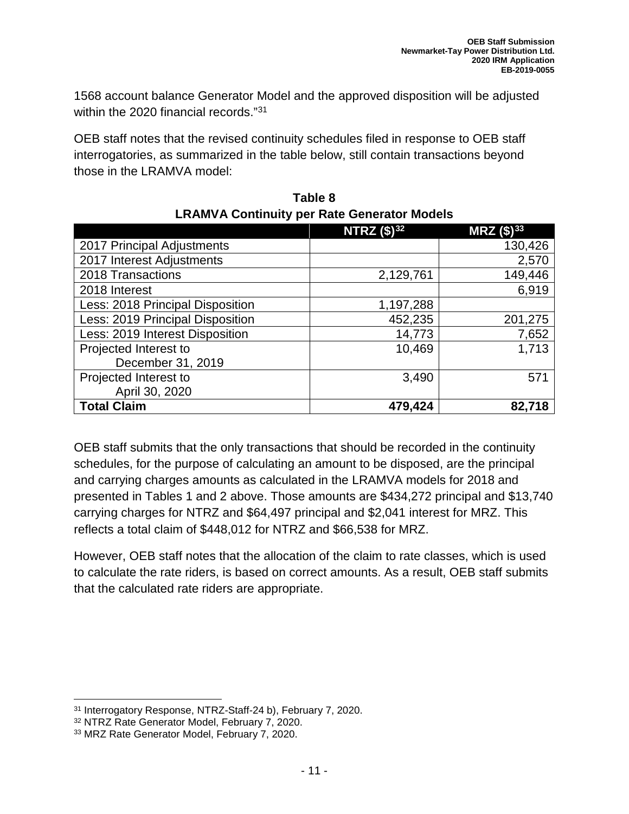1568 account balance Generator Model and the approved disposition will be adjusted within the 2020 financial records."[31](#page-12-0)

OEB staff notes that the revised continuity schedules filed in response to OEB staff interrogatories, as summarized in the table below, still contain transactions beyond those in the LRAMVA model:

|                                  | <b>NTRZ</b> $($ \$ $)^{32}$ | $MRZ($ \$) <sup>33</sup> |
|----------------------------------|-----------------------------|--------------------------|
| 2017 Principal Adjustments       |                             | 130,426                  |
| 2017 Interest Adjustments        |                             | 2,570                    |
| 2018 Transactions                | 2,129,761                   | 149,446                  |
| 2018 Interest                    |                             | 6,919                    |
| Less: 2018 Principal Disposition | 1,197,288                   |                          |
| Less: 2019 Principal Disposition | 452,235                     | 201,275                  |
| Less: 2019 Interest Disposition  | 14,773                      | 7,652                    |
| Projected Interest to            | 10,469                      | 1,713                    |
| December 31, 2019                |                             |                          |
| Projected Interest to            | 3,490                       | 571                      |
| April 30, 2020                   |                             |                          |
| <b>Total Claim</b>               | 479,424                     | 82,718                   |

| Table 8                                            |
|----------------------------------------------------|
| <b>LRAMVA Continuity per Rate Generator Models</b> |

OEB staff submits that the only transactions that should be recorded in the continuity schedules, for the purpose of calculating an amount to be disposed, are the principal and carrying charges amounts as calculated in the LRAMVA models for 2018 and presented in Tables 1 and 2 above. Those amounts are \$434,272 principal and \$13,740 carrying charges for NTRZ and \$64,497 principal and \$2,041 interest for MRZ. This reflects a total claim of \$448,012 for NTRZ and \$66,538 for MRZ.

However, OEB staff notes that the allocation of the claim to rate classes, which is used to calculate the rate riders, is based on correct amounts. As a result, OEB staff submits that the calculated rate riders are appropriate.

<span id="page-12-0"></span>l <sup>31</sup> Interrogatory Response, NTRZ-Staff-24 b), February 7, 2020.

<span id="page-12-1"></span><sup>32</sup> NTRZ Rate Generator Model, February 7, 2020.

<span id="page-12-2"></span><sup>33</sup> MRZ Rate Generator Model, February 7, 2020.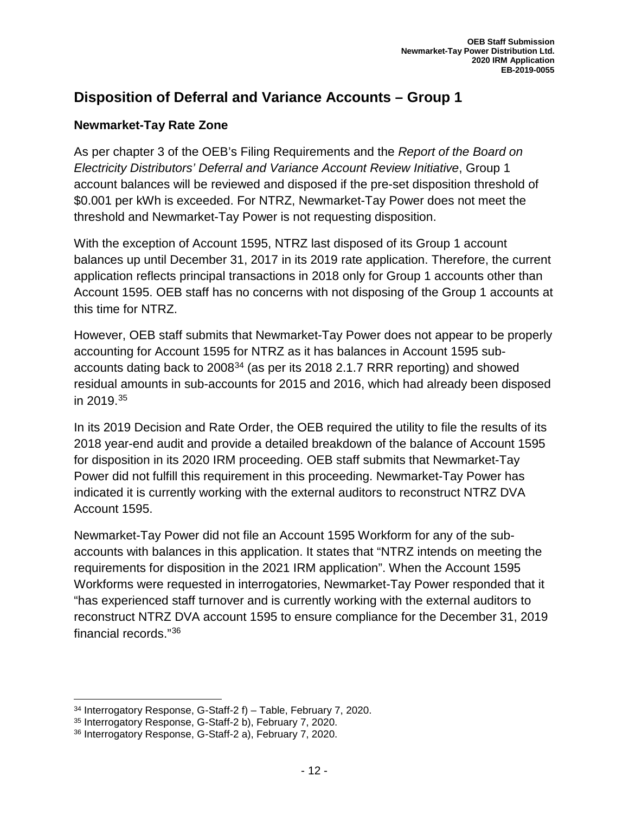#### **Disposition of Deferral and Variance Accounts – Group 1**

#### **Newmarket-Tay Rate Zone**

As per chapter 3 of the OEB's Filing Requirements and the *Report of the Board on Electricity Distributors' Deferral and Variance Account Review Initiative*, Group 1 account balances will be reviewed and disposed if the pre-set disposition threshold of \$0.001 per kWh is exceeded. For NTRZ, Newmarket-Tay Power does not meet the threshold and Newmarket-Tay Power is not requesting disposition.

With the exception of Account 1595, NTRZ last disposed of its Group 1 account balances up until December 31, 2017 in its 2019 rate application. Therefore, the current application reflects principal transactions in 2018 only for Group 1 accounts other than Account 1595. OEB staff has no concerns with not disposing of the Group 1 accounts at this time for NTRZ.

However, OEB staff submits that Newmarket-Tay Power does not appear to be properly accounting for Account 1595 for NTRZ as it has balances in Account 1595 subaccounts dating back to 2008[34](#page-13-0) (as per its 2018 2.1.7 RRR reporting) and showed residual amounts in sub-accounts for 2015 and 2016, which had already been disposed in 2019. [35](#page-13-1)

In its 2019 Decision and Rate Order, the OEB required the utility to file the results of its 2018 year-end audit and provide a detailed breakdown of the balance of Account 1595 for disposition in its 2020 IRM proceeding. OEB staff submits that Newmarket-Tay Power did not fulfill this requirement in this proceeding. Newmarket-Tay Power has indicated it is currently working with the external auditors to reconstruct NTRZ DVA Account 1595.

Newmarket-Tay Power did not file an Account 1595 Workform for any of the subaccounts with balances in this application. It states that "NTRZ intends on meeting the requirements for disposition in the 2021 IRM application". When the Account 1595 Workforms were requested in interrogatories, Newmarket-Tay Power responded that it "has experienced staff turnover and is currently working with the external auditors to reconstruct NTRZ DVA account 1595 to ensure compliance for the December 31, 2019 financial records."[36](#page-13-2)

<span id="page-13-0"></span>l <sup>34</sup> Interrogatory Response, G-Staff-2 f) – Table, February 7, 2020.

<span id="page-13-1"></span><sup>35</sup> Interrogatory Response, G-Staff-2 b), February 7, 2020.

<span id="page-13-2"></span><sup>36</sup> Interrogatory Response, G-Staff-2 a), February 7, 2020.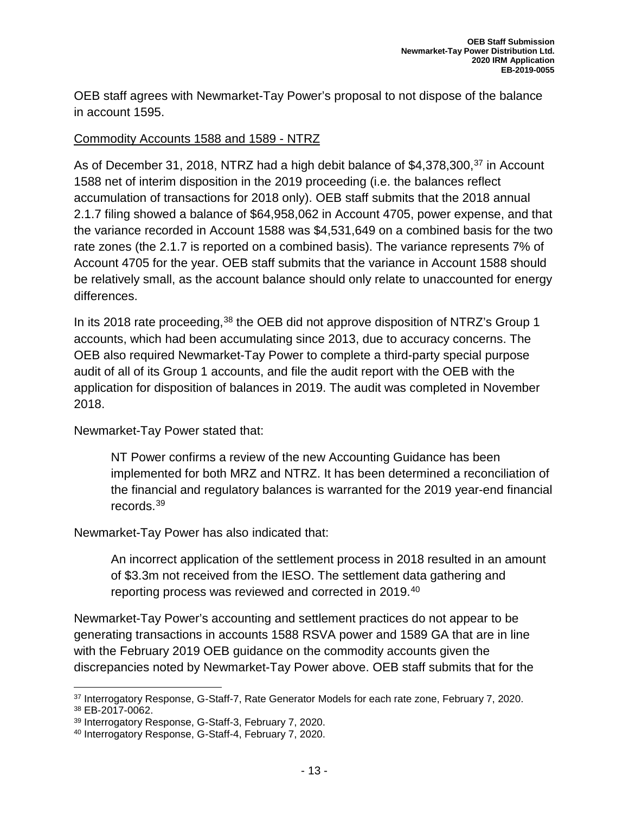OEB staff agrees with Newmarket-Tay Power's proposal to not dispose of the balance in account 1595.

#### Commodity Accounts 1588 and 1589 - NTRZ

As of December 31, 2018, NTRZ had a high debit balance of \$4,[37](#page-14-0)8,300,<sup>37</sup> in Account 1588 net of interim disposition in the 2019 proceeding (i.e. the balances reflect accumulation of transactions for 2018 only). OEB staff submits that the 2018 annual 2.1.7 filing showed a balance of \$64,958,062 in Account 4705, power expense, and that the variance recorded in Account 1588 was \$4,531,649 on a combined basis for the two rate zones (the 2.1.7 is reported on a combined basis). The variance represents 7% of Account 4705 for the year. OEB staff submits that the variance in Account 1588 should be relatively small, as the account balance should only relate to unaccounted for energy differences.

In its 2018 rate proceeding,<sup>[38](#page-14-1)</sup> the OEB did not approve disposition of NTRZ's Group 1 accounts, which had been accumulating since 2013, due to accuracy concerns. The OEB also required Newmarket-Tay Power to complete a third-party special purpose audit of all of its Group 1 accounts, and file the audit report with the OEB with the application for disposition of balances in 2019. The audit was completed in November 2018.

Newmarket-Tay Power stated that:

NT Power confirms a review of the new Accounting Guidance has been implemented for both MRZ and NTRZ. It has been determined a reconciliation of the financial and regulatory balances is warranted for the 2019 year-end financial records.[39](#page-14-2)

Newmarket-Tay Power has also indicated that:

An incorrect application of the settlement process in 2018 resulted in an amount of \$3.3m not received from the IESO. The settlement data gathering and reporting process was reviewed and corrected in 2019.<sup>[40](#page-14-3)</sup>

Newmarket-Tay Power's accounting and settlement practices do not appear to be generating transactions in accounts 1588 RSVA power and 1589 GA that are in line with the February 2019 OEB guidance on the commodity accounts given the discrepancies noted by Newmarket-Tay Power above. OEB staff submits that for the

<span id="page-14-1"></span><span id="page-14-0"></span><sup>37</sup> Interrogatory Response, G-Staff-7, Rate Generator Models for each rate zone, February 7, 2020. <sup>38</sup> EB-2017-0062.

<span id="page-14-2"></span><sup>39</sup> Interrogatory Response, G-Staff-3, February 7, 2020.

<span id="page-14-3"></span><sup>40</sup> Interrogatory Response, G-Staff-4, February 7, 2020.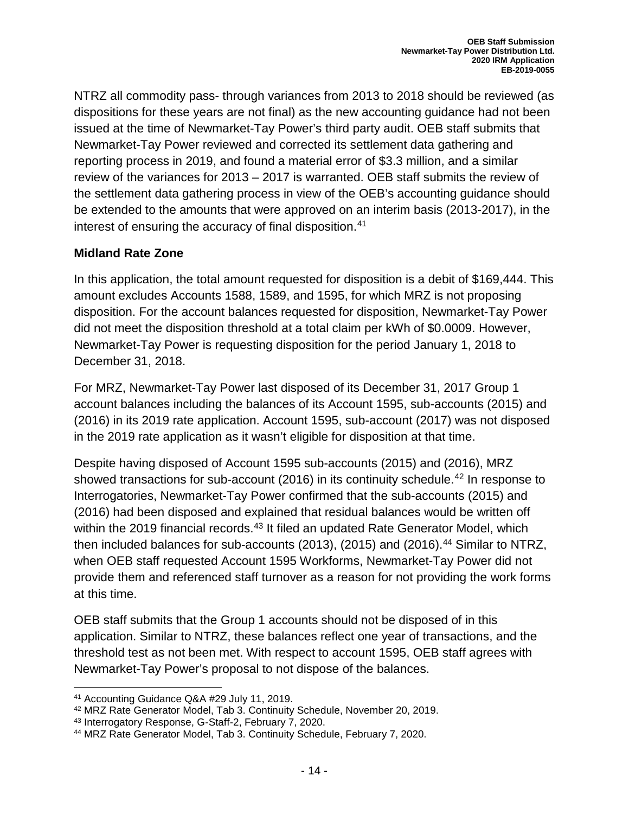NTRZ all commodity pass- through variances from 2013 to 2018 should be reviewed (as dispositions for these years are not final) as the new accounting guidance had not been issued at the time of Newmarket-Tay Power's third party audit. OEB staff submits that Newmarket-Tay Power reviewed and corrected its settlement data gathering and reporting process in 2019, and found a material error of \$3.3 million, and a similar review of the variances for 2013 – 2017 is warranted. OEB staff submits the review of the settlement data gathering process in view of the OEB's accounting guidance should be extended to the amounts that were approved on an interim basis (2013-2017), in the interest of ensuring the accuracy of final disposition. [41](#page-15-0)

#### **Midland Rate Zone**

In this application, the total amount requested for disposition is a debit of \$169,444. This amount excludes Accounts 1588, 1589, and 1595, for which MRZ is not proposing disposition. For the account balances requested for disposition, Newmarket-Tay Power did not meet the disposition threshold at a total claim per kWh of \$0.0009. However, Newmarket-Tay Power is requesting disposition for the period January 1, 2018 to December 31, 2018.

For MRZ, Newmarket-Tay Power last disposed of its December 31, 2017 Group 1 account balances including the balances of its Account 1595, sub-accounts (2015) and (2016) in its 2019 rate application. Account 1595, sub-account (2017) was not disposed in the 2019 rate application as it wasn't eligible for disposition at that time.

Despite having disposed of Account 1595 sub-accounts (2015) and (2016), MRZ showed transactions for sub-account (2016) in its continuity schedule.<sup>[42](#page-15-1)</sup> In response to Interrogatories, Newmarket-Tay Power confirmed that the sub-accounts (2015) and (2016) had been disposed and explained that residual balances would be written off within the 2019 financial records.<sup>[43](#page-15-2)</sup> It filed an updated Rate Generator Model, which then included balances for sub-accounts (2013), (2015) and (2016).<sup>44</sup> Similar to NTRZ, when OEB staff requested Account 1595 Workforms, Newmarket-Tay Power did not provide them and referenced staff turnover as a reason for not providing the work forms at this time.

OEB staff submits that the Group 1 accounts should not be disposed of in this application. Similar to NTRZ, these balances reflect one year of transactions, and the threshold test as not been met. With respect to account 1595, OEB staff agrees with Newmarket-Tay Power's proposal to not dispose of the balances.

<span id="page-15-0"></span><sup>41</sup> Accounting Guidance Q&A #29 July 11, 2019.

<span id="page-15-1"></span><sup>42</sup> MRZ Rate Generator Model, Tab 3. Continuity Schedule, November 20, 2019.

<span id="page-15-2"></span><sup>43</sup> Interrogatory Response, G-Staff-2, February 7, 2020.

<span id="page-15-3"></span><sup>44</sup> MRZ Rate Generator Model, Tab 3. Continuity Schedule, February 7, 2020.